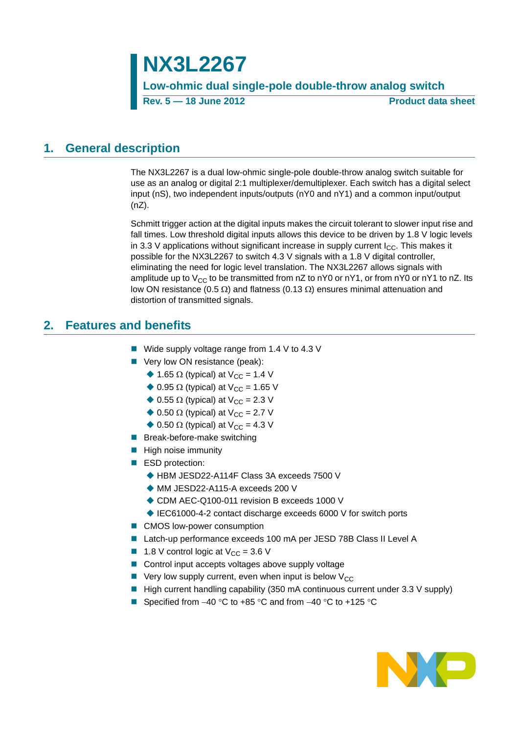# **NX3L2267**

**Low-ohmic dual single-pole double-throw analog switch Rev. 5 — 18 June 2012 Product data sheet**

## <span id="page-0-0"></span>**1. General description**

The NX3L2267 is a dual low-ohmic single-pole double-throw analog switch suitable for use as an analog or digital 2:1 multiplexer/demultiplexer. Each switch has a digital select input (nS), two independent inputs/outputs (nY0 and nY1) and a common input/output (nZ).

Schmitt trigger action at the digital inputs makes the circuit tolerant to slower input rise and fall times. Low threshold digital inputs allows this device to be driven by 1.8 V logic levels in 3.3 V applications without significant increase in supply current  $I_{CC}$ . This makes it possible for the NX3L2267 to switch 4.3 V signals with a 1.8 V digital controller, eliminating the need for logic level translation. The NX3L2267 allows signals with amplitude up to V<sub>CC</sub> to be transmitted from nZ to nY0 or nY1, or from nY0 or nY1 to nZ. Its low ON resistance (0.5  $\Omega$ ) and flatness (0.13  $\Omega$ ) ensures minimal attenuation and distortion of transmitted signals.

# <span id="page-0-1"></span>**2. Features and benefits**

- Wide supply voltage range from 1.4 V to 4.3 V
- Very low ON resistance (peak):
	- $\triangle$  1.65  $\Omega$  (typical) at V<sub>CC</sub> = 1.4 V
	- $\triangle$  0.95  $\Omega$  (typical) at V<sub>CC</sub> = 1.65 V
	- $\triangle$  0.55  $\Omega$  (typical) at V<sub>CC</sub> = 2.3 V
	- $\triangle$  0.50  $\Omega$  (typical) at V<sub>CC</sub> = 2.7 V
	- $\triangle$  0.50  $\Omega$  (typical) at V<sub>CC</sub> = 4.3 V
- Break-before-make switching
- $\blacksquare$  High noise immunity
- ESD protection:
	- ◆ HBM JESD22-A114F Class 3A exceeds 7500 V
	- ◆ MM JESD22-A115-A exceeds 200 V
	- ◆ CDM AEC-Q100-011 revision B exceeds 1000 V
	- ♦ IEC61000-4-2 contact discharge exceeds 6000 V for switch ports
- CMOS low-power consumption
- Latch-up performance exceeds 100 mA per JESD 78B Class II Level A
- **1.8** V control logic at  $V_{CC} = 3.6$  V
- Control input accepts voltages above supply voltage
- $\blacksquare$  Very low supply current, even when input is below  $V_{CC}$
- $\blacksquare$  High current handling capability (350 mA continuous current under 3.3 V supply)
- Specified from  $-40$  °C to  $+85$  °C and from  $-40$  °C to  $+125$  °C

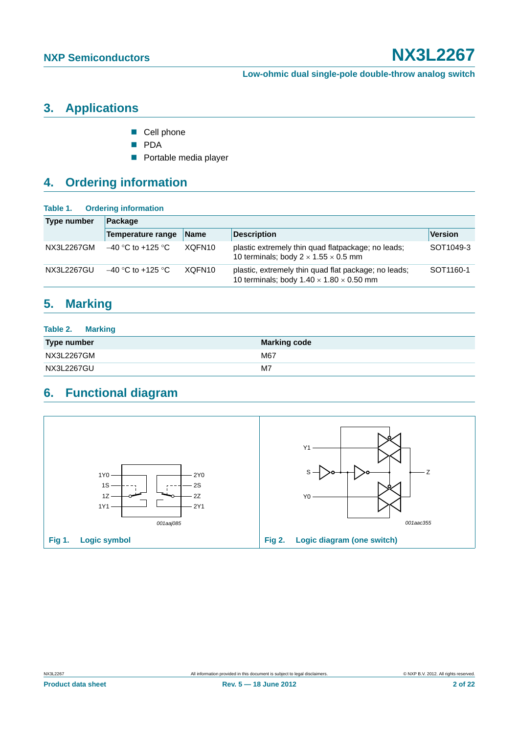# <span id="page-1-0"></span>**3. Applications**

- Cell phone
- **PDA**
- **Portable media player**

# <span id="page-1-1"></span>**4. Ordering information**

#### **Table 1. Ordering information**

| <b>Type number</b> | Package                  |                    |                                                                                                              |                       |
|--------------------|--------------------------|--------------------|--------------------------------------------------------------------------------------------------------------|-----------------------|
|                    | <b>Temperature range</b> | <b>Name</b>        | <b>Description</b>                                                                                           | Version               |
| NX3L2267GM         | $-40$ °C to +125 °C      | XQFN <sub>10</sub> | plastic extremely thin quad flatpackage; no leads;<br>10 terminals; body $2 \times 1.55 \times 0.5$ mm       | SOT1049-3             |
| NX3L2267GU         | $-40$ °C to +125 °C      | XQFN <sub>10</sub> | plastic, extremely thin quad flat package; no leads;<br>10 terminals; body $1.40 \times 1.80 \times 0.50$ mm | SOT <sub>1160-1</sub> |

# <span id="page-1-2"></span>**5. Marking**

| <b>Table 2. Marking</b> |                     |
|-------------------------|---------------------|
| <b>Type number</b>      | <b>Marking code</b> |
| NX3L2267GM              | M67                 |
| NX3L2267GU              | M7                  |

# <span id="page-1-3"></span>**6. Functional diagram**

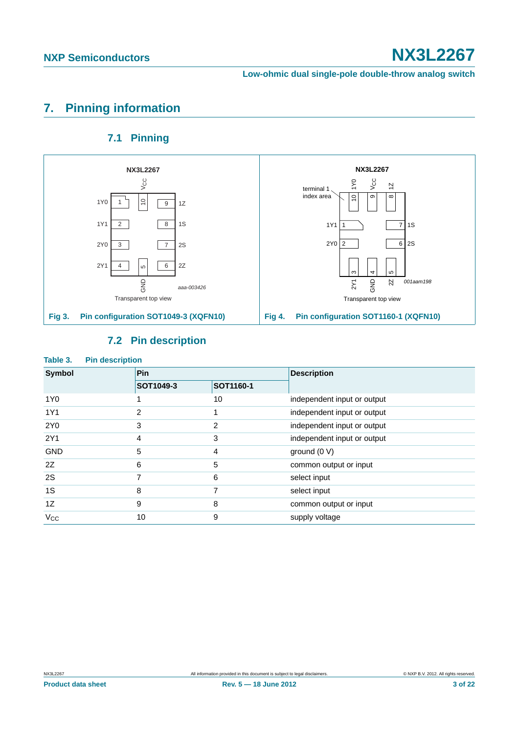### **Low-ohmic dual single-pole double-throw analog switch**

# <span id="page-2-0"></span>**7. Pinning information**

## **7.1 Pinning**

<span id="page-2-1"></span>





<span id="page-2-2"></span>

| Table 3.      | <b>Pin description</b> |                |           |                             |
|---------------|------------------------|----------------|-----------|-----------------------------|
| <b>Symbol</b> |                        | Pin            |           | <b>Description</b>          |
|               |                        | SOT1049-3      | SOT1160-1 |                             |
| 1Y0           |                        |                | 10        | independent input or output |
| 1Y1           |                        | $\overline{2}$ |           | independent input or output |
| 2Y0           |                        | 3              | 2         | independent input or output |
| 2Y1           |                        | 4              | 3         | independent input or output |
| <b>GND</b>    |                        | 5              | 4         | ground $(0 V)$              |
| 2Z            |                        | 6              | 5         | common output or input      |
| 2S            |                        | 7              | 6         | select input                |
| 1S            |                        | 8              | 7         | select input                |
| 1Z            |                        | 9              | 8         | common output or input      |
| $V_{\rm CC}$  |                        | 10             | 9         | supply voltage              |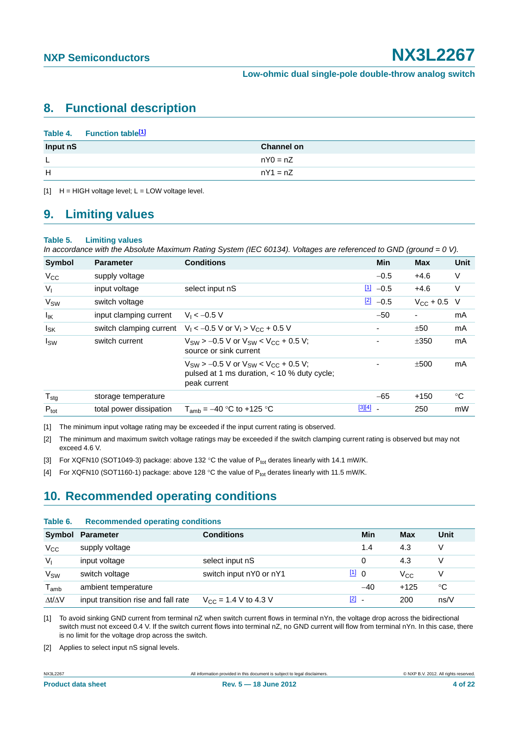## <span id="page-3-7"></span>**8. Functional description**

#### Table 4. Function table<sup>[1]</sup>

| Input nS | <b>Channel on</b> |
|----------|-------------------|
| <b>L</b> | $nY0 = nZ$        |
| H        | $nY1 = nZ$        |

<span id="page-3-0"></span> $[1]$  H = HIGH voltage level; L = LOW voltage level.

### <span id="page-3-8"></span>**9. Limiting values**

#### **Table 5. Limiting values**

*In accordance with the Absolute Maximum Rating System (IEC 60134). Voltages are referenced to GND (ground = 0 V).*

| <b>Symbol</b>     | <b>Parameter</b>        | <b>Conditions</b>                                                                                                | <b>Min</b>            | <b>Max</b>           | Unit |
|-------------------|-------------------------|------------------------------------------------------------------------------------------------------------------|-----------------------|----------------------|------|
| $V_{\rm CC}$      | supply voltage          |                                                                                                                  | $-0.5$                | $+4.6$               | V    |
| $V_{I}$           | input voltage           | select input nS                                                                                                  | $\boxed{1}$<br>$-0.5$ | $+4.6$               | V    |
| V <sub>SW</sub>   | switch voltage          |                                                                                                                  | $\boxed{2}$ -0.5      | $V_{\rm CC}$ + 0.5 V |      |
| $I_{\mathsf{IK}}$ | input clamping current  | $V_1 < -0.5 V$                                                                                                   | $-50$                 | -                    | mA   |
| $I_{SK}$          | switch clamping current | $V_1 < -0.5$ V or $V_1 > V_{CC} + 0.5$ V                                                                         |                       | ±50                  | mA   |
| $I_{SW}$          | switch current          | $V_{SW}$ > -0.5 V or $V_{SW}$ < $V_{CC}$ + 0.5 V;<br>source or sink current                                      |                       | ±350                 | mA   |
|                   |                         | $V_{SW}$ > -0.5 V or $V_{SW}$ < $V_{CC}$ + 0.5 V;<br>pulsed at 1 ms duration, < 10 % duty cycle;<br>peak current |                       | ±500                 | mA   |
| $T_{\text{stg}}$  | storage temperature     |                                                                                                                  | $-65$                 | $+150$               | °C   |
| $P_{\text{tot}}$  | total power dissipation | $T_{amb} = -40$ °C to +125 °C                                                                                    | $[3][4]$ $-$          | 250                  | mW   |

<span id="page-3-1"></span>[1] The minimum input voltage rating may be exceeded if the input current rating is observed.

<span id="page-3-2"></span>[2] The minimum and maximum switch voltage ratings may be exceeded if the switch clamping current rating is observed but may not exceed 4.6 V.

<span id="page-3-3"></span>[3] For XQFN10 (SOT1049-3) package: above 132 °C the value of P<sub>tot</sub> derates linearly with 14.1 mW/K.

<span id="page-3-4"></span>[4] For XQFN10 (SOT1160-1) package: above 128 °C the value of P<sub>tot</sub> derates linearly with 11.5 mW/K.

# <span id="page-3-9"></span>**10. Recommended operating conditions**

#### **Table 6. Recommended operating conditions**

|                     | Symbol Parameter                    | <b>Conditions</b>         |                                   | Min   | Max      | Unit |
|---------------------|-------------------------------------|---------------------------|-----------------------------------|-------|----------|------|
| $V_{\rm CC}$        | supply voltage                      |                           |                                   | 1.4   | 4.3      | V    |
| $V_{I}$             | input voltage                       | select input nS           |                                   | 0     | 4.3      |      |
| V <sub>SW</sub>     | switch voltage                      | switch input nY0 or nY1   | $11$ 0                            |       | $V_{CC}$ |      |
| $T_{\mathsf{amb}}$  | ambient temperature                 |                           |                                   | $-40$ | $+125$   | °C   |
| $\Delta t/\Delta V$ | input transition rise and fall rate | $V_{CC}$ = 1.4 V to 4.3 V | $\begin{bmatrix} 2 \end{bmatrix}$ |       | 200      | ns/V |

<span id="page-3-5"></span>[1] To avoid sinking GND current from terminal nZ when switch current flows in terminal nYn, the voltage drop across the bidirectional switch must not exceed 0.4 V. If the switch current flows into terminal nZ, no GND current will flow from terminal nYn. In this case, there is no limit for the voltage drop across the switch.

<span id="page-3-6"></span>[2] Applies to select input nS signal levels.

NX3L2267 All information provided in this document is subject to legal disclaimers. © NXP B.V. 2012. All rights reserved.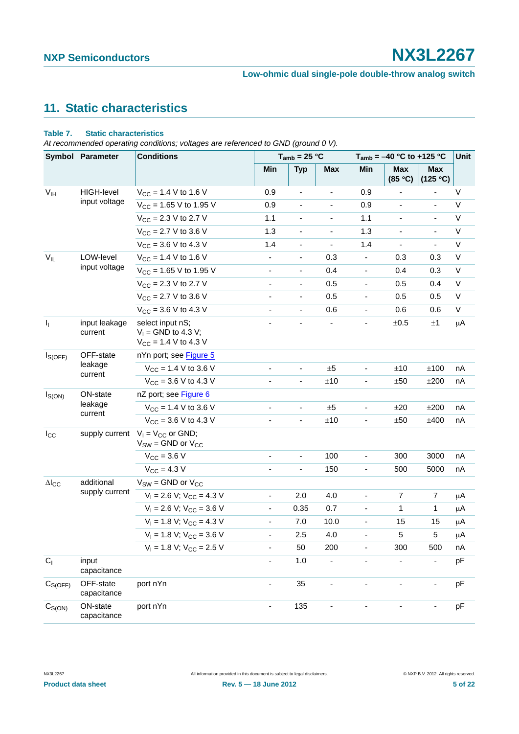# <span id="page-4-0"></span>**11. Static characteristics**

#### **Table 7. Static characteristics**

*At recommended operating conditions; voltages are referenced to GND (ground 0 V).*

| <b>Symbol</b>   | Parameter                | <b>Conditions</b>                                                      | $T_{amb}$ = 25 °C        |                          |                          | $T_{amb} = -40$ °C to +125 °C | Unit                     |                          |             |
|-----------------|--------------------------|------------------------------------------------------------------------|--------------------------|--------------------------|--------------------------|-------------------------------|--------------------------|--------------------------|-------------|
|                 |                          |                                                                        | Min                      | <b>Typ</b>               | <b>Max</b>               | Min                           | <b>Max</b><br>(85 °C)    | <b>Max</b><br>(125 °C)   |             |
| V <sub>IH</sub> | HIGH-level               | $V_{CC}$ = 1.4 V to 1.6 V                                              | 0.9                      | $\overline{\phantom{a}}$ |                          | 0.9                           |                          |                          | V           |
|                 | input voltage            | $V_{CC}$ = 1.65 V to 1.95 V                                            | 0.9                      | $\blacksquare$           | $\overline{\phantom{0}}$ | 0.9                           | $\overline{\phantom{a}}$ | $\frac{1}{2}$            | V           |
|                 |                          | $V_{CC}$ = 2.3 V to 2.7 V                                              | 1.1                      | $\overline{\phantom{a}}$ |                          | 1.1                           |                          | $\overline{\phantom{a}}$ | $\mathsf V$ |
|                 |                          | $V_{CC}$ = 2.7 V to 3.6 V                                              | 1.3                      | $\overline{\phantom{a}}$ |                          | 1.3                           |                          | $\blacksquare$           | $\mathsf V$ |
|                 |                          | $V_{CC}$ = 3.6 V to 4.3 V                                              | 1.4                      | $\overline{\phantom{a}}$ |                          | 1.4                           |                          |                          | $\mathsf V$ |
| $V_{IL}$        | LOW-level                | $V_{CC}$ = 1.4 V to 1.6 V                                              | $\blacksquare$           | $\overline{\phantom{a}}$ | 0.3                      | $\overline{\phantom{a}}$      | 0.3                      | 0.3                      | $\mathsf V$ |
|                 | input voltage            | $V_{CC}$ = 1.65 V to 1.95 V                                            | $\overline{\phantom{a}}$ | $\overline{\phantom{a}}$ | 0.4                      |                               | 0.4                      | 0.3                      | $\sf V$     |
|                 |                          | $V_{CC}$ = 2.3 V to 2.7 V                                              | $\overline{\phantom{a}}$ | $\overline{\phantom{a}}$ | 0.5                      | $\overline{\phantom{a}}$      | 0.5                      | 0.4                      | V           |
|                 |                          | $V_{CC}$ = 2.7 V to 3.6 V                                              | $\frac{1}{2}$            | $\overline{\phantom{a}}$ | 0.5                      |                               | 0.5                      | 0.5                      | V           |
|                 |                          | $V_{CC}$ = 3.6 V to 4.3 V                                              | $\overline{\phantom{a}}$ | $\blacksquare$           | 0.6                      | $\blacksquare$                | 0.6                      | 0.6                      | V           |
| $\mathbf{l}_1$  | input leakage<br>current | select input nS;<br>$V_1$ = GND to 4.3 V;<br>$V_{CC}$ = 1.4 V to 4.3 V |                          |                          |                          |                               | ±0.5                     | $\pm 1$                  | μA          |
| $I_{S(OFF)}$    | OFF-state                | nYn port; see Figure 5                                                 |                          |                          |                          |                               |                          |                          |             |
|                 | leakage                  | $V_{CC}$ = 1.4 V to 3.6 V                                              | $\blacksquare$           | $\blacksquare$           | ±5                       | ٠                             | ±10                      | $\pm 100$                | nA          |
|                 | current                  | $V_{CC}$ = 3.6 V to 4.3 V                                              | $\blacksquare$           | $\blacksquare$           | ±10                      | $\overline{\phantom{a}}$      | ±50                      | ±200                     | nA          |
| $I_{S(ON)}$     | ON-state                 | nZ port; see Figure 6                                                  |                          |                          |                          |                               |                          |                          |             |
|                 | leakage                  | $V_{CC}$ = 1.4 V to 3.6 V                                              | $\blacksquare$           | $\overline{\phantom{a}}$ | ±5                       |                               | ±20                      | ±200                     | nA          |
|                 | current                  | $V_{CC}$ = 3.6 V to 4.3 V                                              | ÷,                       | $\overline{\phantom{a}}$ | ±10                      | ۰                             | ±50                      | ±400                     | nA          |
| $I_{\rm CC}$    | supply current           | $V_1 = V_{CC}$ or GND;<br>$V_{SW}$ = GND or $V_{CC}$                   |                          |                          |                          |                               |                          |                          |             |
|                 |                          | $V_{CC}$ = 3.6 V                                                       | $\blacksquare$           | $\overline{\phantom{a}}$ | 100                      | $\blacksquare$                | 300                      | 3000                     | nA          |
|                 |                          | $V_{CC} = 4.3 V$                                                       |                          | $\blacksquare$           | 150                      |                               | 500                      | 5000                     | nA          |
| $\Delta I_{CC}$ | additional               | $V_{SW}$ = GND or $V_{CC}$                                             |                          |                          |                          |                               |                          |                          |             |
|                 | supply current           | $V_1 = 2.6 V$ ; $V_{CC} = 4.3 V$                                       | $\blacksquare$           | 2.0                      | 4.0                      |                               | $\overline{7}$           | $\overline{7}$           | μA          |
|                 |                          | $V_1 = 2.6 V$ ; $V_{CC} = 3.6 V$                                       | $\overline{\phantom{a}}$ | 0.35                     | 0.7                      | $\overline{\phantom{a}}$      | 1                        | 1                        | μA          |
|                 |                          | $V_1 = 1.8 V$ ; $V_{CC} = 4.3 V$                                       | $\overline{\phantom{a}}$ | 7.0                      | 10.0                     |                               | 15                       | 15                       | μA          |
|                 |                          | $V_1 = 1.8 V$ ; $V_{CC} = 3.6 V$                                       | $\blacksquare$           | 2.5                      | 4.0                      | $\overline{\phantom{a}}$      | 5                        | 5                        | μA          |
|                 |                          | $V_1 = 1.8 V$ ; $V_{CC} = 2.5 V$                                       |                          | 50                       | 200                      |                               | 300                      | 500                      | nA          |
| C <sub>1</sub>  | input<br>capacitance     |                                                                        | $\blacksquare$           | $1.0$                    | $\overline{\phantom{a}}$ | $\blacksquare$                | $\blacksquare$           | $\blacksquare$           | pF          |
| $C_{S(OFF)}$    | OFF-state<br>capacitance | port nYn                                                               | $\blacksquare$           | 35                       | ÷,                       | ٠                             | $\frac{1}{2}$            | $\blacksquare$           | pF          |
| $C_{S(ON)}$     | ON-state<br>capacitance  | port nYn                                                               | $\blacksquare$           | 135                      |                          |                               |                          | $\overline{\phantom{0}}$ | pF          |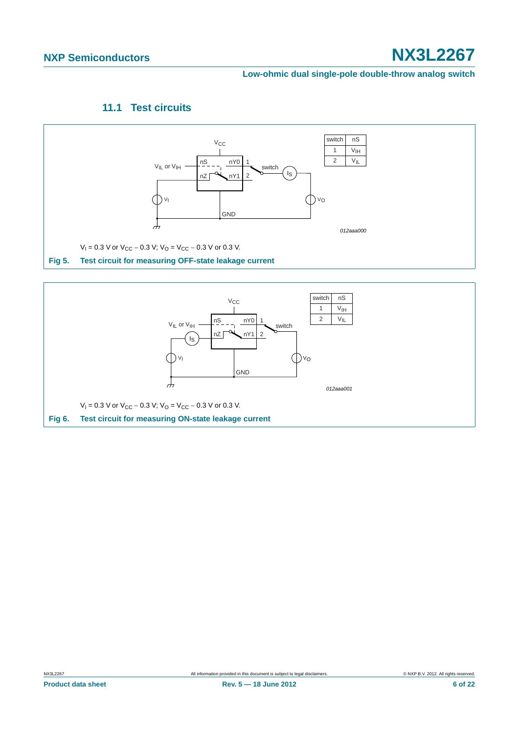#### **Low-ohmic dual single-pole double-throw analog switch**

### **11.1 Test circuits**

<span id="page-5-2"></span>

<span id="page-5-1"></span><span id="page-5-0"></span>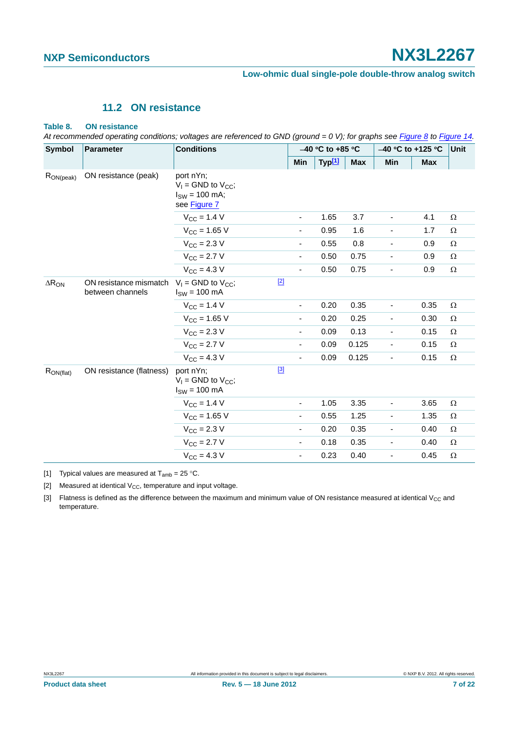### **11.2 ON resistance**

#### <span id="page-6-3"></span>**Table 8. ON resistance**

*At recommended operating conditions; voltages are referenced to GND (ground = 0 V); for graphs see [Figure 8](#page-7-0) to [Figure 14.](#page-9-0)*

| <b>Symbol</b>   | <b>Parameter</b>                           | <b>Conditions</b>                                                            |                              | $-40$ °C to +85 °C |            |                          | -40 °C to +125 °C |          |
|-----------------|--------------------------------------------|------------------------------------------------------------------------------|------------------------------|--------------------|------------|--------------------------|-------------------|----------|
|                 |                                            |                                                                              | Min                          | Typ <sup>[1]</sup> | <b>Max</b> | Min                      | <b>Max</b>        |          |
| $R_{ON(peak)}$  | ON resistance (peak)                       | port nYn;<br>$V_1$ = GND to $V_{CC}$ ;<br>$I_{SW}$ = 100 mA;<br>see Figure 7 |                              |                    |            |                          |                   |          |
|                 |                                            | $V_{CC}$ = 1.4 V                                                             | $\qquad \qquad \blacksquare$ | 1.65               | 3.7        |                          | 4.1               | Ω        |
|                 |                                            | $V_{\rm CC}$ = 1.65 V                                                        | $\overline{\phantom{a}}$     | 0.95               | 1.6        | $\overline{\phantom{a}}$ | 1.7               | Ω        |
|                 |                                            | $V_{\text{CC}} = 2.3 V$                                                      | -                            | 0.55               | 0.8        | -                        | 0.9               | $\Omega$ |
|                 |                                            | $V_{\rm CC} = 2.7 V$                                                         | $\overline{\phantom{a}}$     | 0.50               | 0.75       | $\frac{1}{2}$            | 0.9               | $\Omega$ |
|                 |                                            | $V_{\text{CC}} = 4.3 V$                                                      | $\qquad \qquad \blacksquare$ | 0.50               | 0.75       | $\overline{\phantom{0}}$ | 0.9               | $\Omega$ |
| $\Delta R_{ON}$ | ON resistance mismatch<br>between channels | $[2]$<br>$V_1$ = GND to $V_{CC}$ ;<br>$ISW = 100 mA$                         |                              |                    |            |                          |                   |          |
|                 |                                            | $V_{CC}$ = 1.4 V                                                             | $\overline{\phantom{a}}$     | 0.20               | 0.35       | $\overline{\phantom{0}}$ | 0.35              | Ω        |
|                 |                                            | $V_{CC}$ = 1.65 V                                                            | -                            | 0.20               | 0.25       | $\overline{\phantom{0}}$ | 0.30              | Ω        |
|                 |                                            | $V_{\rm CC}$ = 2.3 V                                                         | -                            | 0.09               | 0.13       | $\overline{\phantom{a}}$ | 0.15              | Ω        |
|                 |                                            | $V_{\rm CC} = 2.7 V$                                                         | -                            | 0.09               | 0.125      | -                        | 0.15              | Ω        |
|                 |                                            | $V_{CC} = 4.3 V$                                                             | $\overline{\phantom{a}}$     | 0.09               | 0.125      | $\overline{\phantom{a}}$ | 0.15              | Ω        |
| $R_{ON(flat)}$  | ON resistance (flatness)                   | $[3]$<br>port nYn:<br>$V_1$ = GND to $V_{CC}$ ;<br>$ISW = 100 mA$            |                              |                    |            |                          |                   |          |
|                 |                                            | $V_{CC} = 1.4 V$                                                             | $\overline{\phantom{a}}$     | 1.05               | 3.35       | -                        | 3.65              | Ω        |
|                 |                                            | $V_{CC}$ = 1.65 V                                                            | $\overline{\phantom{a}}$     | 0.55               | 1.25       | $\overline{\phantom{0}}$ | 1.35              | Ω        |
|                 |                                            | $V_{\text{CC}} = 2.3 V$                                                      | $\overline{\phantom{a}}$     | 0.20               | 0.35       | -                        | 0.40              | Ω        |
|                 |                                            | $V_{\text{CC}} = 2.7 V$                                                      | $\qquad \qquad \blacksquare$ | 0.18               | 0.35       | -                        | 0.40              | Ω        |
|                 |                                            | $V_{\text{CC}} = 4.3 V$                                                      | -                            | 0.23               | 0.40       | -                        | 0.45              | Ω        |

<span id="page-6-0"></span>[1] Typical values are measured at  $T_{amb} = 25 \degree C$ .

<span id="page-6-1"></span>[2] Measured at identical  $V_{CC}$ , temperature and input voltage.

<span id="page-6-2"></span>[3] Flatness is defined as the difference between the maximum and minimum value of ON resistance measured at identical V<sub>CC</sub> and temperature.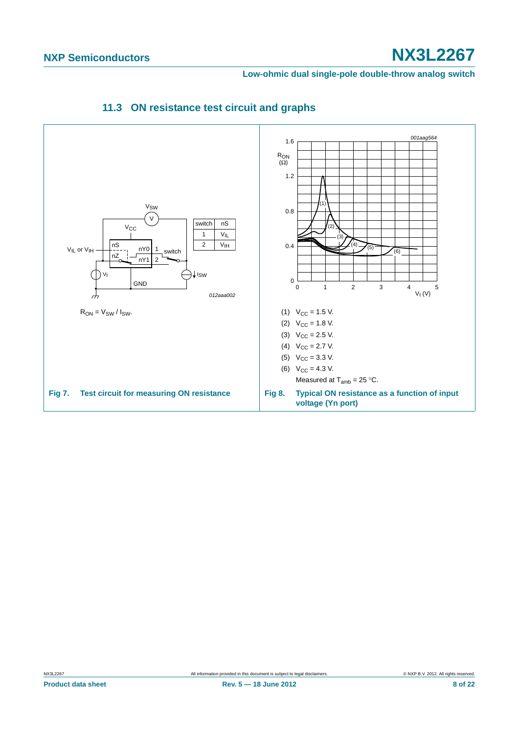<span id="page-7-0"></span>**Low-ohmic dual single-pole double-throw analog switch**

<span id="page-7-2"></span><span id="page-7-1"></span>

### **11.3 ON resistance test circuit and graphs**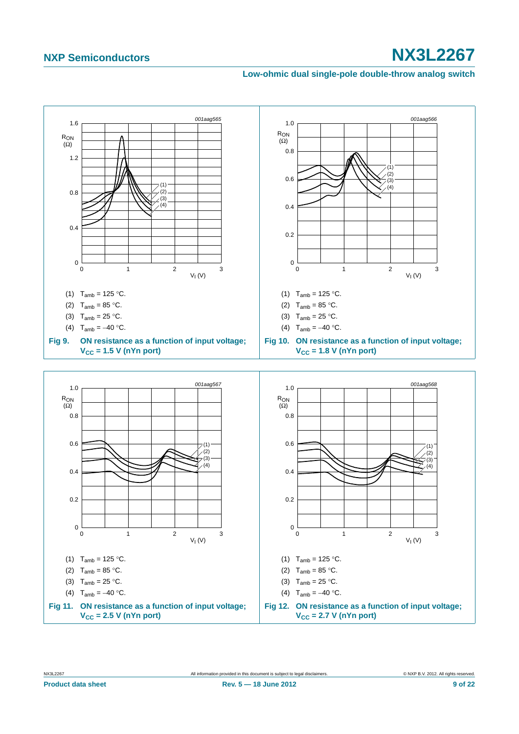#### **Low-ohmic dual single-pole double-throw analog switch**

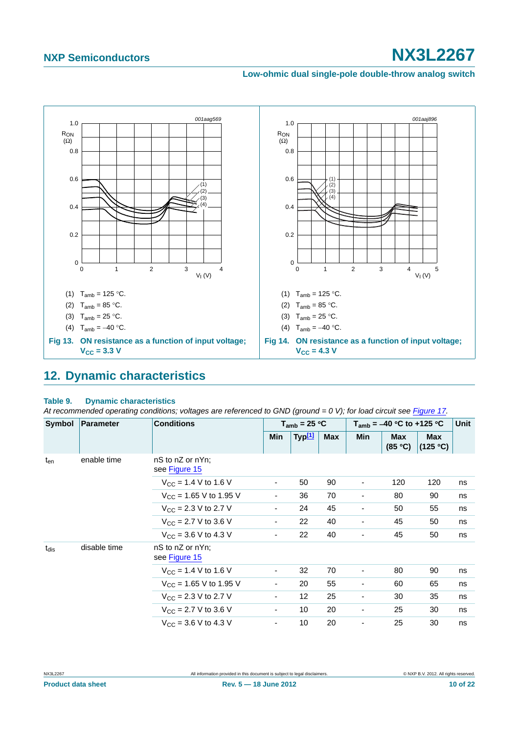#### **Low-ohmic dual single-pole double-throw analog switch**



## <span id="page-9-1"></span><span id="page-9-0"></span>**12. Dynamic characteristics**

#### **Table 9. Dynamic characteristics**

At recommended operating conditions; voltages are referenced to GND (ground = 0 V); for load circuit see [Figure 17.](#page-11-0)

| Symbol    | Parameter    | <b>Conditions</b>                  | $T_{amb}$ = 25 °C        |            |            | $T_{amb} = -40 °C$ to +125 °C | <b>Unit</b>            |     |    |
|-----------|--------------|------------------------------------|--------------------------|------------|------------|-------------------------------|------------------------|-----|----|
|           |              | Min                                | Typ <sup>[1]</sup>       | <b>Max</b> | <b>Min</b> | <b>Max</b><br>(85 °C)         | <b>Max</b><br>(125 °C) |     |    |
| $t_{en}$  | enable time  | nS to nZ or nYn;<br>see Figure 15  |                          |            |            |                               |                        |     |    |
|           |              | $V_{CC}$ = 1.4 V to 1.6 V          | ۰                        | 50         | 90         | -                             | 120                    | 120 | ns |
|           |              | $V_{\text{CC}}$ = 1.65 V to 1.95 V | $\overline{\phantom{a}}$ | 36         | 70         | $\overline{\phantom{a}}$      | 80                     | 90  | ns |
|           |              | $V_{CC}$ = 2.3 V to 2.7 V          | ۰                        | 24         | 45         |                               | 50                     | 55  | ns |
|           |              | $V_{CC}$ = 2.7 V to 3.6 V          | $\overline{\phantom{a}}$ | 22         | 40         | ٠                             | 45                     | 50  | ns |
|           |              | $V_{CC}$ = 3.6 V to 4.3 V          | $\overline{\phantom{a}}$ | 22         | 40         | ٠                             | 45                     | 50  | ns |
| $t_{dis}$ | disable time | nS to nZ or nYn;<br>see Figure 15  |                          |            |            |                               |                        |     |    |
|           |              | $V_{CC}$ = 1.4 V to 1.6 V          | $\overline{\phantom{a}}$ | 32         | 70         | ۰                             | 80                     | 90  | ns |
|           |              | $V_{CC}$ = 1.65 V to 1.95 V        | $\overline{\phantom{a}}$ | 20         | 55         | $\overline{\phantom{a}}$      | 60                     | 65  | ns |
|           |              | $V_{\text{CC}}$ = 2.3 V to 2.7 V   | $\overline{\phantom{a}}$ | 12         | 25         | ٠                             | 30                     | 35  | ns |
|           |              | $V_{CC}$ = 2.7 V to 3.6 V          | $\overline{\phantom{a}}$ | 10         | 20         | -                             | 25                     | 30  | ns |
|           |              | $V_{CC}$ = 3.6 V to 4.3 V          | $\overline{\phantom{a}}$ | 10         | 20         | $\overline{\phantom{0}}$      | 25                     | 30  | ns |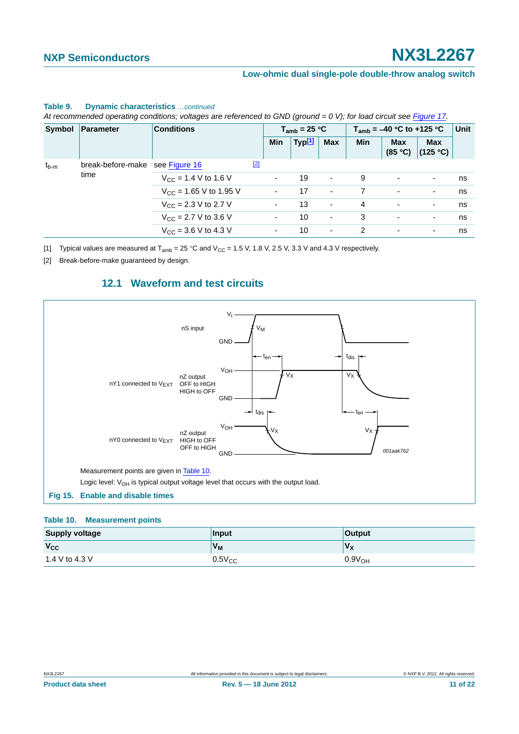|           | Symbol   Parameter              | <b>Conditions</b>                        |             |                    | $T_{amb}$ = 25 °C |                          |                       | $T_{amb} = -40 °C$ to +125 °C |   | Unit |
|-----------|---------------------------------|------------------------------------------|-------------|--------------------|-------------------|--------------------------|-----------------------|-------------------------------|---|------|
|           |                                 |                                          | Min         | Typ <sup>[1]</sup> | <b>Max</b>        | <b>Min</b>               | <b>Max</b><br>(85 °C) | <b>Max</b><br>(125 °C)        |   |      |
| $t_{b-m}$ | break-before-make see Figure 16 |                                          | $\boxed{2}$ |                    |                   |                          |                       |                               |   |      |
| time      |                                 | $V_{\text{CC}}$ = 1.4 V to 1.6 V         |             | $\sim$             | 19                | $\sim$                   | 9                     | $\overline{\phantom{a}}$      | ۰ | ns   |
|           |                                 | $V_{CC}$ = 1.65 V to 1.95 V              |             | ٠.                 | 17                | $\overline{\phantom{a}}$ |                       | $\overline{\phantom{a}}$      | - | ns   |
|           |                                 | $V_{\text{CC}}$ = 2.3 V to 2.7 V         |             | ۰.                 | 13                | ٠                        | 4                     | $\overline{\phantom{a}}$      | ۰ | ns   |
|           |                                 | $V_{\text{CC}}$ = 2.7 V to 3.6 V         |             | ۰.                 | 10                | ۰                        | 3                     | $\overline{\phantom{a}}$      | ۰ | ns   |
|           |                                 | $V_{\text{CC}} = 3.6 \text{ V}$ to 4.3 V |             | ۰.                 | 10                | ۰                        | 2                     | $\overline{\phantom{a}}$      | ۰ | ns   |

#### **Table 9. Dynamic characteristics** *…continued*

*At recommended operating conditions; voltages are referenced to GND (ground = 0 V); for load circuit see Figure 17.*

<span id="page-10-0"></span>[1] Typical values are measured at  $T_{amb} = 25 \degree C$  and  $V_{CC} = 1.5$  V, 1.8 V, 2.5 V, 3.3 V and 4.3 V respectively.

<span id="page-10-2"></span>[2] Break-before-make guaranteed by design.

### **12.1 Waveform and test circuits**

<span id="page-10-4"></span>![](_page_10_Figure_9.jpeg)

#### <span id="page-10-3"></span><span id="page-10-1"></span>**Table 10. Measurement points**

| <b>Supply voltage</b> | Input          | <b>Output</b>      |
|-----------------------|----------------|--------------------|
| $V_{CC}$              | V <sub>M</sub> | $V_X$              |
| 1.4 V to 4.3 V        | $0.5V_{CC}$    | 0.9V <sub>OH</sub> |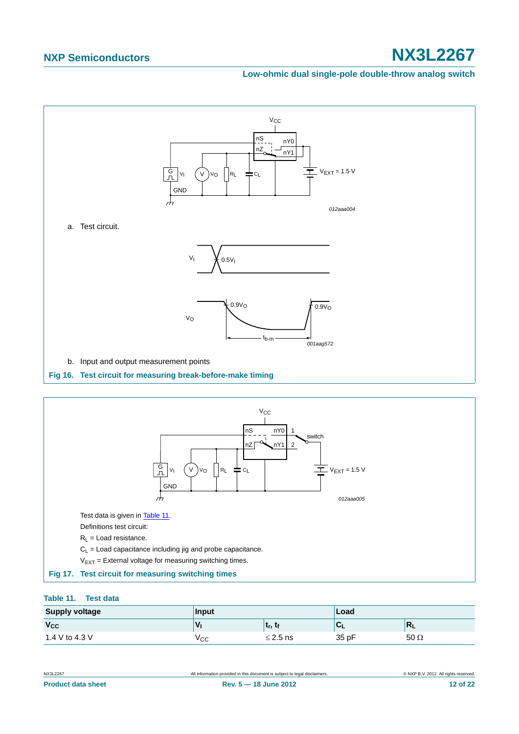#### **Low-ohmic dual single-pole double-throw analog switch**

![](_page_11_Figure_3.jpeg)

<span id="page-11-1"></span>![](_page_11_Figure_4.jpeg)

#### <span id="page-11-2"></span><span id="page-11-0"></span>**Table 11. Test data**

| <b>Supply voltage</b> | Input |                                   | Load  |             |
|-----------------------|-------|-----------------------------------|-------|-------------|
| $V_{CC}$              | ν     | լ ւ <sub>r</sub> , ւ <sub>f</sub> |       | ш           |
| 1.4 V to 4.3 V        | ∨сс   | $\leq$ 2.5 ns                     | 35 pF | 50 $\Omega$ |

|  |  | <b>Product data sheet</b> |
|--|--|---------------------------|
|  |  |                           |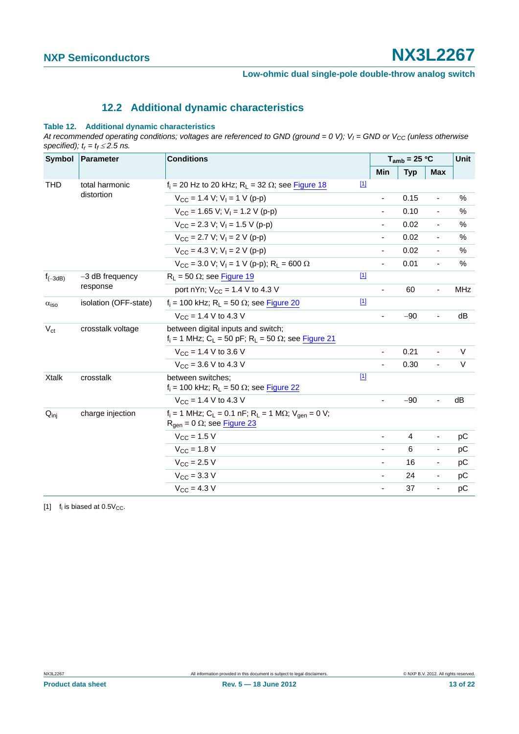### **12.2 Additional dynamic characteristics**

#### <span id="page-12-1"></span>**Table 12. Additional dynamic characteristics**

At recommended operating conditions; voltages are referenced to GND (ground = 0 V);  $V_I$  = GND or  $V_{CC}$  (unless otherwise *specified);*  $t_r = t_f \leq 2.5$  *ns.* 

| Symbol                  | Parameter                     | <b>Conditions</b>                                                                                                                              | $T_{amb}$ = 25 °C |                          | Unit           |                              |            |
|-------------------------|-------------------------------|------------------------------------------------------------------------------------------------------------------------------------------------|-------------------|--------------------------|----------------|------------------------------|------------|
|                         |                               |                                                                                                                                                |                   | Min                      | <b>Typ</b>     | <b>Max</b>                   |            |
| <b>THD</b>              | total harmonic<br>distortion  | $f_i$ = 20 Hz to 20 kHz; R <sub>L</sub> = 32 $\Omega$ ; see Figure 18                                                                          | $\boxed{1}$       |                          |                |                              |            |
|                         |                               | $V_{CC}$ = 1.4 V; V <sub>1</sub> = 1 V (p-p)                                                                                                   |                   |                          | 0.15           | $\overline{\phantom{a}}$     | %          |
|                         |                               | $V_{CC}$ = 1.65 V; V <sub>1</sub> = 1.2 V (p-p)                                                                                                |                   | $\blacksquare$           | 0.10           | $\blacksquare$               | $\%$       |
|                         |                               | $V_{CC}$ = 2.3 V; V <sub>1</sub> = 1.5 V (p-p)                                                                                                 |                   | ٠                        | 0.02           | $\blacksquare$               | %          |
|                         |                               | $V_{CC}$ = 2.7 V; V <sub>I</sub> = 2 V (p-p)                                                                                                   |                   | $\overline{\phantom{a}}$ | 0.02           | $\overline{\phantom{a}}$     | $\%$       |
|                         |                               | $V_{CC}$ = 4.3 V; V <sub>1</sub> = 2 V (p-p)                                                                                                   |                   | $\overline{\phantom{0}}$ | 0.02           | $\blacksquare$               | $\%$       |
|                         |                               | $V_{CC}$ = 3.0 V; V <sub>1</sub> = 1 V (p-p); R <sub>1</sub> = 600 $\Omega$                                                                    |                   | ä,                       | 0.01           | $\blacksquare$               | %          |
| $f_{(-3dB)}$            | $-3$ dB frequency<br>response | $R_1 = 50 \Omega$ ; see Figure 19                                                                                                              | $[1]$             |                          |                |                              |            |
|                         |                               | port nYn; $V_{CC} = 1.4 V$ to 4.3 V                                                                                                            |                   |                          | 60             | $\overline{\phantom{a}}$     | <b>MHz</b> |
| $\alpha$ <sub>iso</sub> | isolation (OFF-state)         | $f_i = 100$ kHz; R <sub>L</sub> = 50 $\Omega$ ; see Figure 20                                                                                  | $[1]$             |                          |                |                              |            |
|                         |                               | $V_{CC}$ = 1.4 V to 4.3 V                                                                                                                      |                   |                          | $-90$          | ÷,                           | dB         |
| $V_{\rm ct}$            | crosstalk voltage             | between digital inputs and switch;<br>$f_i = 1$ MHz; C <sub>L</sub> = 50 pF; R <sub>L</sub> = 50 $\Omega$ ; see Figure 21                      |                   |                          |                |                              |            |
|                         |                               | $V_{CC}$ = 1.4 V to 3.6 V                                                                                                                      |                   | ٠                        | 0.21           | $\blacksquare$               | V          |
|                         |                               | $V_{CC}$ = 3.6 V to 4.3 V                                                                                                                      |                   |                          | 0.30           | $\overline{\phantom{a}}$     | V          |
| <b>Xtalk</b>            | crosstalk                     | between switches:<br>$f_i$ = 100 kHz; R <sub>L</sub> = 50 $\Omega$ ; see Figure 22                                                             | $[1]$             |                          |                |                              |            |
|                         |                               | $V_{\rm CC}$ = 1.4 V to 4.3 V                                                                                                                  |                   | $\overline{\phantom{0}}$ | $-90$          | $\frac{1}{2}$                | dB         |
| $Q_{\text{inj}}$        | charge injection              | $f_i = 1$ MHz; C <sub>L</sub> = 0.1 nF; R <sub>L</sub> = 1 M $\Omega$ ; V <sub>gen</sub> = 0 V;<br>$R_{\text{qen}} = 0 \Omega$ ; see Figure 23 |                   |                          |                |                              |            |
|                         |                               | $V_{CC}$ = 1.5 V                                                                                                                               |                   | $\overline{\phantom{a}}$ | $\overline{4}$ | $\overline{\phantom{a}}$     | рC         |
|                         |                               | $V_{CC} = 1.8 V$                                                                                                                               |                   |                          | 6              | $\qquad \qquad \blacksquare$ | рC         |
|                         |                               | $V_{CC}$ = 2.5 V                                                                                                                               |                   |                          | 16             | $\overline{\phantom{a}}$     | pC         |
|                         |                               | $V_{\text{CC}} = 3.3 \text{ V}$                                                                                                                |                   | ٠                        | 24             | $\blacksquare$               | рC         |
|                         |                               | $V_{\rm CC} = 4.3 V$                                                                                                                           |                   | $\overline{\phantom{a}}$ | 37             | $\blacksquare$               | pC         |

<span id="page-12-0"></span>[1]  $f_i$  is biased at  $0.5V_{CC}$ .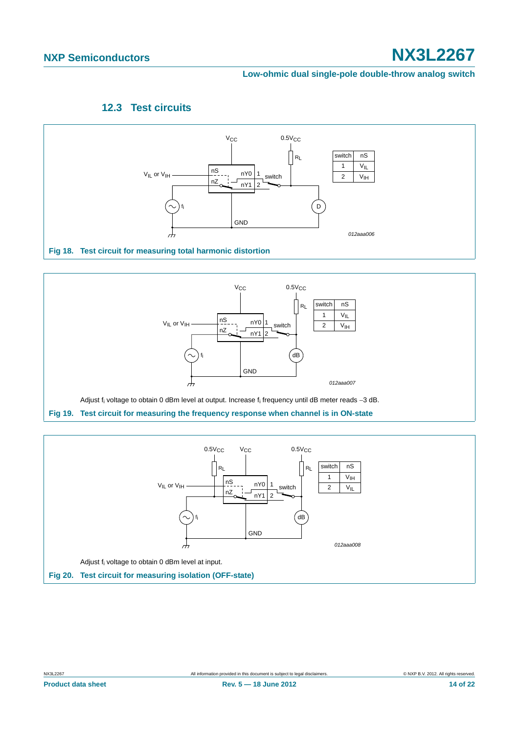#### **Low-ohmic dual single-pole double-throw analog switch**

### **12.3 Test circuits**

<span id="page-13-3"></span>![](_page_13_Figure_4.jpeg)

<span id="page-13-0"></span>![](_page_13_Figure_5.jpeg)

<span id="page-13-2"></span><span id="page-13-1"></span>![](_page_13_Figure_6.jpeg)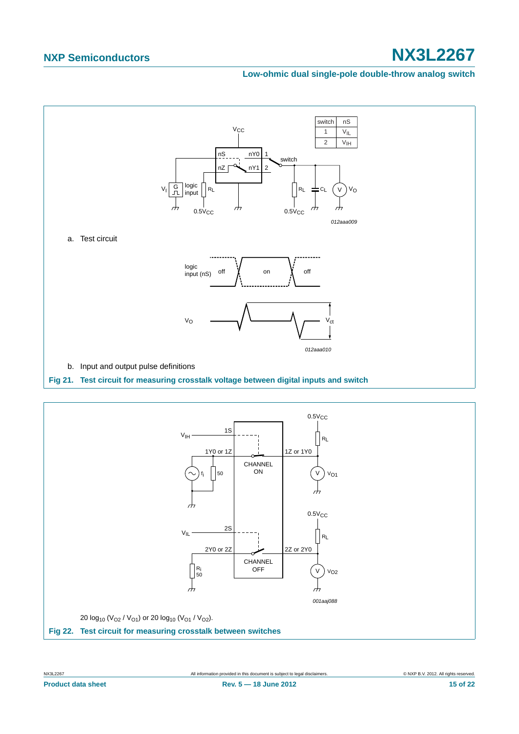#### **Low-ohmic dual single-pole double-throw analog switch**

![](_page_14_Figure_3.jpeg)

<span id="page-14-1"></span><span id="page-14-0"></span>![](_page_14_Figure_4.jpeg)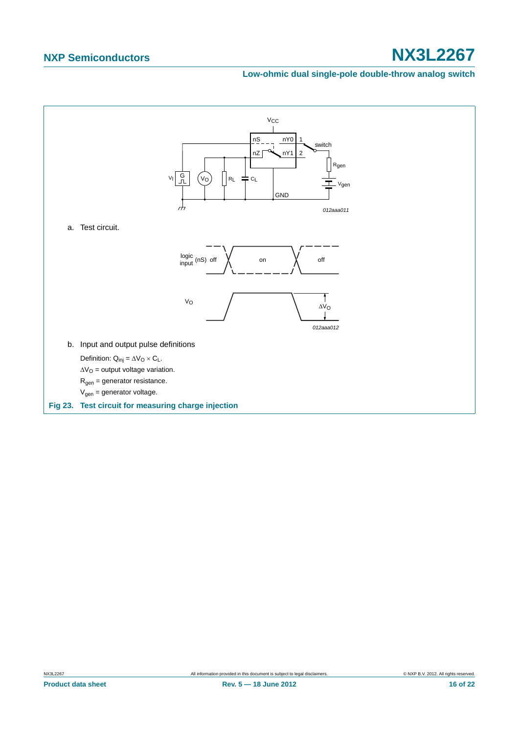#### **Low-ohmic dual single-pole double-throw analog switch**

<span id="page-15-0"></span>![](_page_15_Figure_3.jpeg)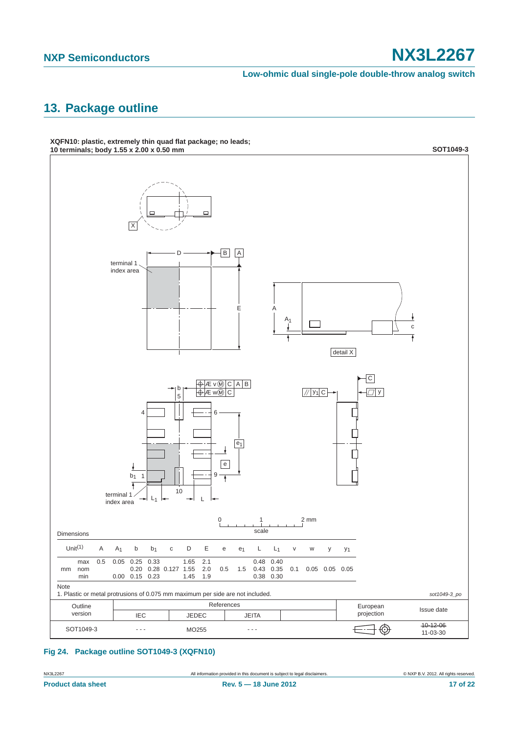**Low-ohmic dual single-pole double-throw analog switch**

# <span id="page-16-1"></span>**13. Package outline**

![](_page_16_Figure_4.jpeg)

**XQFN10: plastic, extremely thin quad flat package; no leads;**

<span id="page-16-0"></span>**Fig 24. Package outline SOT1049-3 (XQFN10)**

NX3L2267 All information provided in this document is subject to legal disclaimers. © NXP B.V. 2012. All rights reserved.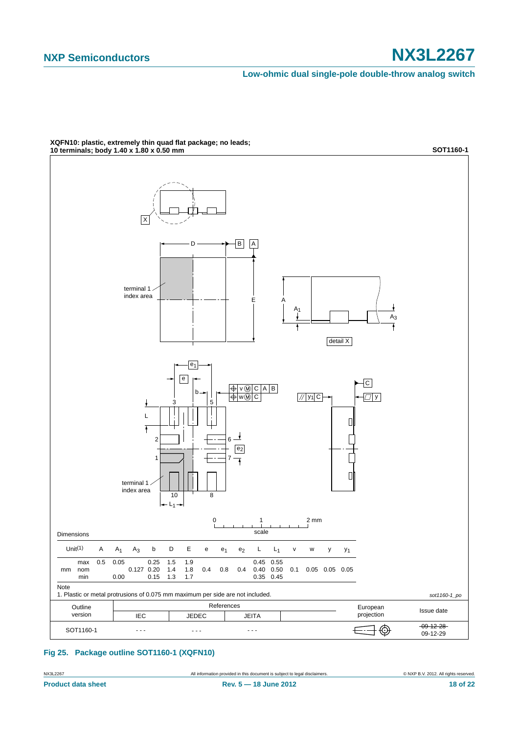**Low-ohmic dual single-pole double-throw analog switch**

![](_page_17_Figure_3.jpeg)

**XQFN10: plastic, extremely thin quad flat package; no leads;**

#### **Fig 25. Package outline SOT1160-1 (XQFN10)**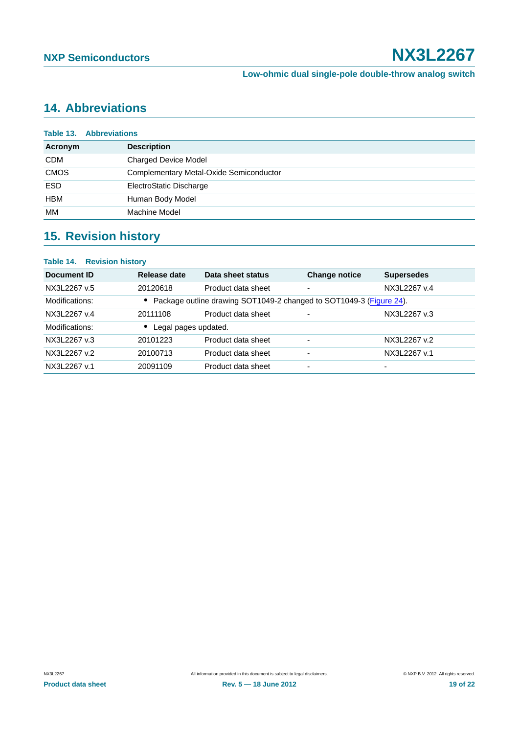# <span id="page-18-0"></span>**14. Abbreviations**

|             | <b>Table 13. Abbreviations</b>          |  |  |  |
|-------------|-----------------------------------------|--|--|--|
| Acronym     | <b>Description</b>                      |  |  |  |
| <b>CDM</b>  | <b>Charged Device Model</b>             |  |  |  |
| <b>CMOS</b> | Complementary Metal-Oxide Semiconductor |  |  |  |
| <b>ESD</b>  | ElectroStatic Discharge                 |  |  |  |
| HBM         | Human Body Model                        |  |  |  |
| МM          | Machine Model                           |  |  |  |

# <span id="page-18-1"></span>**15. Revision history**

#### **Table 14. Revision history**

| Document ID    | Release date         | Data sheet status                                                     | <b>Change notice</b> | <b>Supersedes</b> |
|----------------|----------------------|-----------------------------------------------------------------------|----------------------|-------------------|
| NX3L2267 v.5   | 20120618             | Product data sheet                                                    |                      | NX3L2267 v.4      |
| Modifications: |                      | • Package outline drawing SOT1049-2 changed to SOT1049-3 (Figure 24). |                      |                   |
| NX3L2267 v.4   | 20111108             | Product data sheet                                                    | -                    | NX3L2267 v.3      |
| Modifications: | Legal pages updated. |                                                                       |                      |                   |
| NX3L2267 v.3   | 20101223             | Product data sheet                                                    |                      | NX3L2267 v.2      |
| NX3L2267 v.2   | 20100713             | Product data sheet                                                    |                      | NX3L2267 v.1      |
| NX3L2267 v.1   | 20091109             | Product data sheet                                                    |                      | -                 |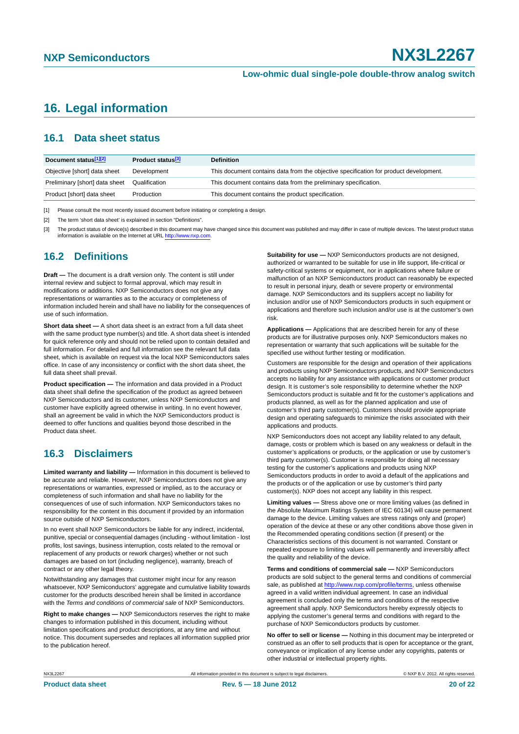## <span id="page-19-0"></span>**16. Legal information**

### <span id="page-19-1"></span>**16.1 Data sheet status**

| Document status[1][2]          | Product status <sup>[3]</sup> | <b>Definition</b>                                                                     |
|--------------------------------|-------------------------------|---------------------------------------------------------------------------------------|
| Objective [short] data sheet   | Development                   | This document contains data from the objective specification for product development. |
| Preliminary [short] data sheet | Qualification                 | This document contains data from the preliminary specification.                       |
| Product [short] data sheet     | Production                    | This document contains the product specification.                                     |

[1] Please consult the most recently issued document before initiating or completing a design.

[2] The term 'short data sheet' is explained in section "Definitions".

[3] The product status of device(s) described in this document may have changed since this document was published and may differ in case of multiple devices. The latest product status<br>information is available on the Intern

#### <span id="page-19-2"></span>**16.2 Definitions**

**Draft —** The document is a draft version only. The content is still under internal review and subject to formal approval, which may result in modifications or additions. NXP Semiconductors does not give any representations or warranties as to the accuracy or completeness of information included herein and shall have no liability for the consequences of use of such information.

**Short data sheet —** A short data sheet is an extract from a full data sheet with the same product type number(s) and title. A short data sheet is intended for quick reference only and should not be relied upon to contain detailed and full information. For detailed and full information see the relevant full data sheet, which is available on request via the local NXP Semiconductors sales office. In case of any inconsistency or conflict with the short data sheet, the full data sheet shall prevail.

**Product specification —** The information and data provided in a Product data sheet shall define the specification of the product as agreed between NXP Semiconductors and its customer, unless NXP Semiconductors and customer have explicitly agreed otherwise in writing. In no event however, shall an agreement be valid in which the NXP Semiconductors product is deemed to offer functions and qualities beyond those described in the Product data sheet.

### <span id="page-19-3"></span>**16.3 Disclaimers**

**Limited warranty and liability —** Information in this document is believed to be accurate and reliable. However, NXP Semiconductors does not give any representations or warranties, expressed or implied, as to the accuracy or completeness of such information and shall have no liability for the consequences of use of such information. NXP Semiconductors takes no responsibility for the content in this document if provided by an information source outside of NXP Semiconductors.

In no event shall NXP Semiconductors be liable for any indirect, incidental, punitive, special or consequential damages (including - without limitation - lost profits, lost savings, business interruption, costs related to the removal or replacement of any products or rework charges) whether or not such damages are based on tort (including negligence), warranty, breach of contract or any other legal theory.

Notwithstanding any damages that customer might incur for any reason whatsoever, NXP Semiconductors' aggregate and cumulative liability towards customer for the products described herein shall be limited in accordance with the *Terms and conditions of commercial sale* of NXP Semiconductors.

**Right to make changes —** NXP Semiconductors reserves the right to make changes to information published in this document, including without limitation specifications and product descriptions, at any time and without notice. This document supersedes and replaces all information supplied prior to the publication hereof.

**Suitability for use —** NXP Semiconductors products are not designed, authorized or warranted to be suitable for use in life support, life-critical or safety-critical systems or equipment, nor in applications where failure or malfunction of an NXP Semiconductors product can reasonably be expected to result in personal injury, death or severe property or environmental damage. NXP Semiconductors and its suppliers accept no liability for inclusion and/or use of NXP Semiconductors products in such equipment or applications and therefore such inclusion and/or use is at the customer's own risk.

**Applications —** Applications that are described herein for any of these products are for illustrative purposes only. NXP Semiconductors makes no representation or warranty that such applications will be suitable for the specified use without further testing or modification.

Customers are responsible for the design and operation of their applications and products using NXP Semiconductors products, and NXP Semiconductors accepts no liability for any assistance with applications or customer product design. It is customer's sole responsibility to determine whether the NXP Semiconductors product is suitable and fit for the customer's applications and products planned, as well as for the planned application and use of customer's third party customer(s). Customers should provide appropriate design and operating safeguards to minimize the risks associated with their applications and products.

NXP Semiconductors does not accept any liability related to any default, damage, costs or problem which is based on any weakness or default in the customer's applications or products, or the application or use by customer's third party customer(s). Customer is responsible for doing all necessary testing for the customer's applications and products using NXP Semiconductors products in order to avoid a default of the applications and the products or of the application or use by customer's third party customer(s). NXP does not accept any liability in this respect.

**Limiting values —** Stress above one or more limiting values (as defined in the Absolute Maximum Ratings System of IEC 60134) will cause permanent damage to the device. Limiting values are stress ratings only and (proper) operation of the device at these or any other conditions above those given in the Recommended operating conditions section (if present) or the Characteristics sections of this document is not warranted. Constant or repeated exposure to limiting values will permanently and irreversibly affect the quality and reliability of the device.

**Terms and conditions of commercial sale —** NXP Semiconductors products are sold subject to the general terms and conditions of commercial sale, as published at<http://www.nxp.com/profile/terms>, unless otherwise agreed in a valid written individual agreement. In case an individual agreement is concluded only the terms and conditions of the respective agreement shall apply. NXP Semiconductors hereby expressly objects to applying the customer's general terms and conditions with regard to the purchase of NXP Semiconductors products by customer.

**No offer to sell or license —** Nothing in this document may be interpreted or construed as an offer to sell products that is open for acceptance or the grant, conveyance or implication of any license under any copyrights, patents or other industrial or intellectual property rights.

NX3L2267 **All information provided in this document is subject to legal disclaimers.** © NXP B.V. 2012. All rights reserved.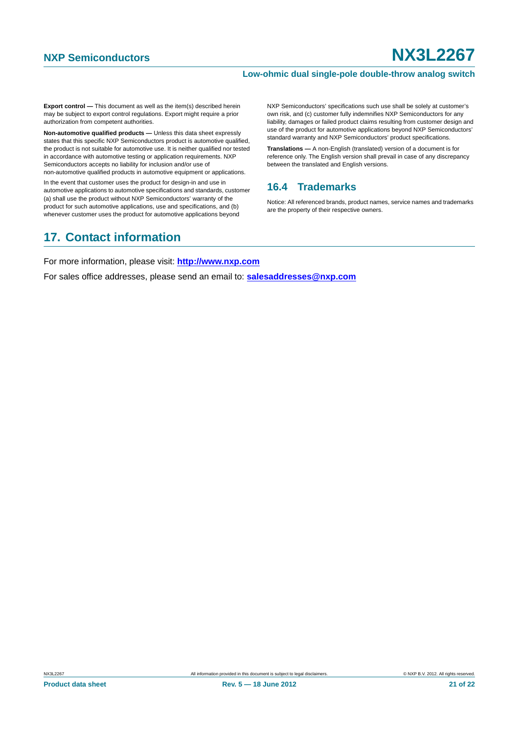#### **Low-ohmic dual single-pole double-throw analog switch**

**Export control —** This document as well as the item(s) described herein may be subject to export control regulations. Export might require a prior authorization from competent authorities.

**Non-automotive qualified products —** Unless this data sheet expressly states that this specific NXP Semiconductors product is automotive qualified, the product is not suitable for automotive use. It is neither qualified nor tested in accordance with automotive testing or application requirements. NXP Semiconductors accepts no liability for inclusion and/or use of non-automotive qualified products in automotive equipment or applications.

In the event that customer uses the product for design-in and use in automotive applications to automotive specifications and standards, customer (a) shall use the product without NXP Semiconductors' warranty of the product for such automotive applications, use and specifications, and (b) whenever customer uses the product for automotive applications beyond

#### liability, damages or failed product claims resulting from customer design and use of the product for automotive applications beyond NXP Semiconductors' standard warranty and NXP Semiconductors' product specifications. **Translations —** A non-English (translated) version of a document is for reference only. The English version shall prevail in case of any discrepancy

NXP Semiconductors' specifications such use shall be solely at customer's own risk, and (c) customer fully indemnifies NXP Semiconductors for any

### <span id="page-20-0"></span>**16.4 Trademarks**

between the translated and English versions.

Notice: All referenced brands, product names, service names and trademarks are the property of their respective owners.

# <span id="page-20-1"></span>**17. Contact information**

For more information, please visit: **http://www.nxp.com**

For sales office addresses, please send an email to: **salesaddresses@nxp.com**